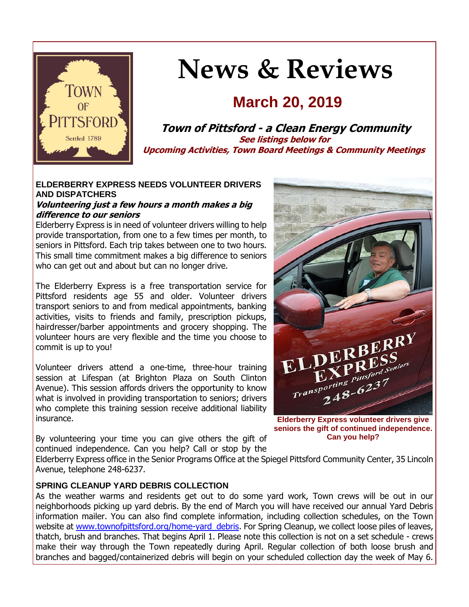

# **News & Reviews**

# **March 20, 2019**

**Town of Pittsford - a Clean Energy Community See listings below for Upcoming Activities, Town Board Meetings & Community Meetings**

#### **ELDERBERRY EXPRESS NEEDS VOLUNTEER DRIVERS AND DISPATCHERS**

#### **Volunteering just a few hours a month makes a big difference to our seniors**

Elderberry Express is in need of volunteer drivers willing to help provide transportation, from one to a few times per month, to seniors in Pittsford. Each trip takes between one to two hours. This small time commitment makes a big difference to seniors who can get out and about but can no longer drive.

The Elderberry Express is a free transportation service for Pittsford residents age 55 and older. Volunteer drivers transport seniors to and from medical appointments, banking activities, visits to friends and family, prescription pickups, hairdresser/barber appointments and grocery shopping. The volunteer hours are very flexible and the time you choose to commit is up to you!

Volunteer drivers attend a one-time, three-hour training session at Lifespan (at Brighton Plaza on South Clinton Avenue). This session affords drivers the opportunity to know what is involved in providing transportation to seniors; drivers who complete this training session receive additional liability insurance.

By volunteering your time you can give others the gift of continued independence. Can you help? Call or stop by the



**Elderberry Express volunteer drivers give seniors the gift of continued independence. Can you help?**

Elderberry Express office in the Senior Programs Office at the Spiegel Pittsford Community Center, 35 Lincoln Avenue, telephone 248-6237.

#### **SPRING CLEANUP YARD DEBRIS COLLECTION**

As the weather warms and residents get out to do some yard work, Town crews will be out in our neighborhoods picking up yard debris. By the end of March you will have received our annual Yard Debris information mailer. You can also find complete information, including collection schedules, on the Town website at [www.townofpittsford.org/home-yard\\_debris.](http://www.townofpittsford.org/home-yard_debris) For Spring Cleanup, we collect loose piles of leaves, thatch, brush and branches. That begins April 1. Please note this collection is not on a set schedule - crews make their way through the Town repeatedly during April. Regular collection of both loose brush and branches and bagged/containerized debris will begin on your scheduled collection day the week of May 6.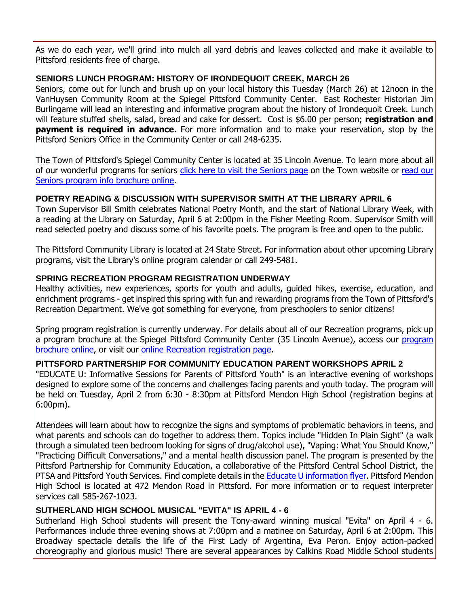As we do each year, we'll grind into mulch all yard debris and leaves collected and make it available to Pittsford residents free of charge.

#### **SENIORS LUNCH PROGRAM: HISTORY OF IRONDEQUOIT CREEK, MARCH 26**

Seniors, come out for lunch and brush up on your local history this Tuesday (March 26) at 12noon in the VanHuysen Community Room at the Spiegel Pittsford Community Center. East Rochester Historian Jim Burlingame will lead an interesting and informative program about the history of Irondequoit Creek. Lunch will feature stuffed shells, salad, bread and cake for dessert. Cost is \$6.00 per person; **registration and payment is required in advance**. For more information and to make your reservation, stop by the Pittsford Seniors Office in the Community Center or call 248-6235.

The Town of Pittsford's Spiegel Community Center is located at 35 Lincoln Avenue. To learn more about all of our wonderful programs for seniors [click here to visit the Seniors page](http://r20.rs6.net/tn.jsp?f=001yOcAxkvxeG3upcXfbFALRicPy884ENLvDoAFpQpZiWHs83gTI9Yzg4R0ysjAPyKVeyQmeg_XHH-Wuu9nFswq9N2EB3nARddyugLpPt56KI5SrBtW6pGj-MsJFjXaNLU18RJCKVHHsExl38dLRVNLdcfuC8T_2FNOI0-6muEobEmAG3_CsaKaWixB6fO2GuhS4yjyveTU7X1g3dZZxllJerR--70sUkvSis8Fhi64Yue5Bbu4wAB0e8ruI2Qyi4uSgvgWle_nRSnH6bB-sO0fVwpzDGeiI8sdCn4-hy8VD61nvKmxXjLpd4WJCf26rh-M&c=zmnJknkP1A0QkuY9ogdLlT0d83CGnGTrlOAKVMsXMcMgsKj-CiGrhA==&ch=TFT3lTIwX9dSQytOTVCVve_cgzUSgJsnVaIgOHz6QBMzrvOgoo9LHA==) on the Town website or [read our](http://r20.rs6.net/tn.jsp?f=001yOcAxkvxeG3upcXfbFALRicPy884ENLvDoAFpQpZiWHs83gTI9Yzg2Jxw8SnquZIZjT90aBl94xl30MN9v7uHWH3-6VhyTsuYUy3Q5vwN9o1F5CnLfukfqyv1Ifqg6QO-tikl1aqwvD3nsw6ZTGx47Gn1_xvK90MYuePaZ6W87gd6-tRmKgtAGntHGeTVMbKDIzCr5PBTNtWd8Et_0iH1vErsv70ZDFX9KSKRXmPuWvi8uExLyC7lyV76k-a5oeKsUpl4hFrSraUGoafsQ_287r2fFSxc6EvPwbTxgwDuwubBvGh84sVwGjFLwsD88MM2JTjvshbvFa3VTWYJVDpcilB4se_rlsETI9qEZmRsFebQCuKFShn0g==&c=zmnJknkP1A0QkuY9ogdLlT0d83CGnGTrlOAKVMsXMcMgsKj-CiGrhA==&ch=TFT3lTIwX9dSQytOTVCVve_cgzUSgJsnVaIgOHz6QBMzrvOgoo9LHA==)  [Seniors program info brochure online.](http://r20.rs6.net/tn.jsp?f=001yOcAxkvxeG3upcXfbFALRicPy884ENLvDoAFpQpZiWHs83gTI9Yzg2Jxw8SnquZIZjT90aBl94xl30MN9v7uHWH3-6VhyTsuYUy3Q5vwN9o1F5CnLfukfqyv1Ifqg6QO-tikl1aqwvD3nsw6ZTGx47Gn1_xvK90MYuePaZ6W87gd6-tRmKgtAGntHGeTVMbKDIzCr5PBTNtWd8Et_0iH1vErsv70ZDFX9KSKRXmPuWvi8uExLyC7lyV76k-a5oeKsUpl4hFrSraUGoafsQ_287r2fFSxc6EvPwbTxgwDuwubBvGh84sVwGjFLwsD88MM2JTjvshbvFa3VTWYJVDpcilB4se_rlsETI9qEZmRsFebQCuKFShn0g==&c=zmnJknkP1A0QkuY9ogdLlT0d83CGnGTrlOAKVMsXMcMgsKj-CiGrhA==&ch=TFT3lTIwX9dSQytOTVCVve_cgzUSgJsnVaIgOHz6QBMzrvOgoo9LHA==)

## **POETRY READING & DISCUSSION WITH SUPERVISOR SMITH AT THE LIBRARY APRIL 6**

Town Supervisor Bill Smith celebrates National Poetry Month, and the start of National Library Week, with a reading at the Library on Saturday, April 6 at 2:00pm in the Fisher Meeting Room. Supervisor Smith will read selected poetry and discuss some of his favorite poets. The program is free and open to the public.

The Pittsford Community Library is located at 24 State Street. For information about other upcoming Library programs, visit the Library's online program calendar or call 249-5481.

## **SPRING RECREATION PROGRAM REGISTRATION UNDERWAY**

Healthy activities, new experiences, sports for youth and adults, guided hikes, exercise, education, and enrichment programs - get inspired this spring with fun and rewarding programs from the Town of Pittsford's Recreation Department. We've got something for everyone, from preschoolers to senior citizens!

Spring program registration is currently underway. For details about all of our Recreation programs, pick up a [program](http://r20.rs6.net/tn.jsp?f=001yOcAxkvxeG3upcXfbFALRicPy884ENLvDoAFpQpZiWHs83gTI9Yzg_GOSAoU70OlJPf2xYS_bxDhZ73S1f4I1tfF80HkKmxDaRYXTyhbxuhwdfID8xtN4TYhNEJpctQZLNLPF9Cnu3qFXShlS0itND0S-8nQZhl1T293aaimag-Ki0KZD3oXOm1Z2lw_Jyc7mdQiIqsr6pJvEqBe3V1u6Z1GnbBHU2VMxSkMl85FaSNq3pnFJLFzWKpbYfaQYWnnFhqdq8t65Vr7fPHuhxSWox5e-GiwJpgPqvMPmXh8gH8sNddlP0c46OpRZ7zZMgohgnaqfBUBqi2I9CJUPmZomg==&c=zmnJknkP1A0QkuY9ogdLlT0d83CGnGTrlOAKVMsXMcMgsKj-CiGrhA==&ch=TFT3lTIwX9dSQytOTVCVve_cgzUSgJsnVaIgOHz6QBMzrvOgoo9LHA==) brochure at the Spiegel Pittsford Community Center (35 Lincoln Avenue), access our program [brochure online,](http://r20.rs6.net/tn.jsp?f=001yOcAxkvxeG3upcXfbFALRicPy884ENLvDoAFpQpZiWHs83gTI9Yzg_GOSAoU70OlJPf2xYS_bxDhZ73S1f4I1tfF80HkKmxDaRYXTyhbxuhwdfID8xtN4TYhNEJpctQZLNLPF9Cnu3qFXShlS0itND0S-8nQZhl1T293aaimag-Ki0KZD3oXOm1Z2lw_Jyc7mdQiIqsr6pJvEqBe3V1u6Z1GnbBHU2VMxSkMl85FaSNq3pnFJLFzWKpbYfaQYWnnFhqdq8t65Vr7fPHuhxSWox5e-GiwJpgPqvMPmXh8gH8sNddlP0c46OpRZ7zZMgohgnaqfBUBqi2I9CJUPmZomg==&c=zmnJknkP1A0QkuY9ogdLlT0d83CGnGTrlOAKVMsXMcMgsKj-CiGrhA==&ch=TFT3lTIwX9dSQytOTVCVve_cgzUSgJsnVaIgOHz6QBMzrvOgoo9LHA==) or visit our [online Recreation registration page.](http://r20.rs6.net/tn.jsp?f=001yOcAxkvxeG3upcXfbFALRicPy884ENLvDoAFpQpZiWHs83gTI9Yzg4lwWBvEbhgwMlEQbwcJczVrHwbpFE4fwL7TiZLmeJp6dU-MBwXYR34xoLfFRgxc22NIFgaIphMRjKqV68eQ57rfthD3x8iQDpE8hNr2422oAtfegP4iTws6q-kMNIP-H-H_9WlyCIGWbu2WPXefmFNt8f2EvP7enNdFcOq_oSaGOE4XpHUY4ITjyaCsLdlg7W9F2Dc8jSb28qD7IAyHWaZI-lC0PkNnzg1kXSEdLnjCetoriUbElHNleOGOqh8Hp8scf0ynFu4i4jY4gQppsyhnDHZPbBTQUifFYbNoNB_R&c=zmnJknkP1A0QkuY9ogdLlT0d83CGnGTrlOAKVMsXMcMgsKj-CiGrhA==&ch=TFT3lTIwX9dSQytOTVCVve_cgzUSgJsnVaIgOHz6QBMzrvOgoo9LHA==)

#### **PITTSFORD PARTNERSHIP FOR COMMUNITY EDUCATION PARENT WORKSHOPS APRIL 2**

"EDUCATE U: Informative Sessions for Parents of Pittsford Youth" is an interactive evening of workshops designed to explore some of the concerns and challenges facing parents and youth today. The program will be held on Tuesday, April 2 from 6:30 - 8:30pm at Pittsford Mendon High School (registration begins at 6:00pm).

Attendees will learn about how to recognize the signs and symptoms of problematic behaviors in teens, and what parents and schools can do together to address them. Topics include "Hidden In Plain Sight" (a walk through a simulated teen bedroom looking for signs of drug/alcohol use), "Vaping: What You Should Know," "Practicing Difficult Conversations," and a mental health discussion panel. The program is presented by the Pittsford Partnership for Community Education, a collaborative of the Pittsford Central School District, the PTSA and Pittsford Youth Services. Find complete details in the **Educate U information flyer**. Pittsford Mendon High School is located at 472 Mendon Road in Pittsford. For more information or to request interpreter services call 585-267-1023.

#### **SUTHERLAND HIGH SCHOOL MUSICAL "EVITA" IS APRIL 4 - 6**

Sutherland High School students will present the Tony-award winning musical "Evita" on April 4 - 6. Performances include three evening shows at 7:00pm and a matinee on Saturday, April 6 at 2:00pm. This Broadway spectacle details the life of the First Lady of Argentina, Eva Peron. Enjoy action-packed choreography and glorious music! There are several appearances by Calkins Road Middle School students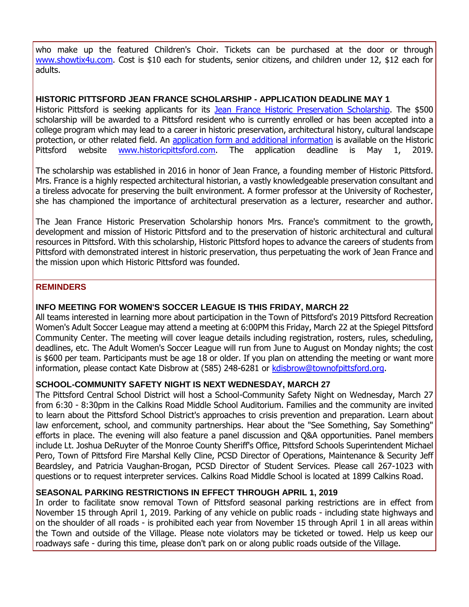who make up the featured Children's Choir. Tickets can be purchased at the door or through [www.showtix4u.com.](http://r20.rs6.net/tn.jsp?f=001yOcAxkvxeG3upcXfbFALRicPy884ENLvDoAFpQpZiWHs83gTI9Yzg-SuxjnKN3a5fzpymHbbROzEhrPIvKY1idQJowKuajBJBkUeKLlVrAGkrJxSLerXspBZNzaw3cIsyQIyjL2ChZIAVEsLxuvJIqHBV2y92LIWQnWUSIjE7knK6b7AwW6MXsZxWhvGXLWjOye-EPDdUS586rUE36Cj8RrKmKLuexIuqa89Wkm29PkK8n-kmirVzFEVjVXDwv9e5sVyVKLoaHOdsg8JOBzoYWbozmV38hSx&c=zmnJknkP1A0QkuY9ogdLlT0d83CGnGTrlOAKVMsXMcMgsKj-CiGrhA==&ch=TFT3lTIwX9dSQytOTVCVve_cgzUSgJsnVaIgOHz6QBMzrvOgoo9LHA==) Cost is \$10 each for students, senior citizens, and children under 12, \$12 each for adults.

#### **HISTORIC PITTSFORD JEAN FRANCE SCHOLARSHIP - APPLICATION DEADLINE MAY 1**

Historic Pittsford is seeking applicants for its [Jean France Historic Preservation Scholarship.](http://r20.rs6.net/tn.jsp?f=001yOcAxkvxeG3upcXfbFALRicPy884ENLvDoAFpQpZiWHs83gTI9Yzgw0bR4tVyOlg74HGdyy21cB66yONrC-QGqNUOlGSYbXS9fQTHITXqw7o00jGVSFSDlaTyoF29yr2GBPA8I2Kd3-98P83gpXg3EdVsIrf9zqvutKoDb3idBuBKO3tdYqJ8MwO0hDvYfbVvnwLI1XFh_pnqVdDoCxnt0kEdxIMon0M-h23nLWdbKu2R56dCkTv0rZ-By6786Wf0_U_3HZNLNRh2lfTwQ9l5k-BwJlBuj3t2SsOMktgSMv5KWDhB61I6w4UodTkZf7V&c=zmnJknkP1A0QkuY9ogdLlT0d83CGnGTrlOAKVMsXMcMgsKj-CiGrhA==&ch=TFT3lTIwX9dSQytOTVCVve_cgzUSgJsnVaIgOHz6QBMzrvOgoo9LHA==) The \$500 scholarship will be awarded to a Pittsford resident who is currently enrolled or has been accepted into a college program which may lead to a career in historic preservation, architectural history, cultural landscape protection, or other related field. An [application form and additional information](http://r20.rs6.net/tn.jsp?f=001yOcAxkvxeG3upcXfbFALRicPy884ENLvDoAFpQpZiWHs83gTI9Yzgw0bR4tVyOlg74HGdyy21cB66yONrC-QGqNUOlGSYbXS9fQTHITXqw7o00jGVSFSDlaTyoF29yr2GBPA8I2Kd3-98P83gpXg3EdVsIrf9zqvutKoDb3idBuBKO3tdYqJ8MwO0hDvYfbVvnwLI1XFh_pnqVdDoCxnt0kEdxIMon0M-h23nLWdbKu2R56dCkTv0rZ-By6786Wf0_U_3HZNLNRh2lfTwQ9l5k-BwJlBuj3t2SsOMktgSMv5KWDhB61I6w4UodTkZf7V&c=zmnJknkP1A0QkuY9ogdLlT0d83CGnGTrlOAKVMsXMcMgsKj-CiGrhA==&ch=TFT3lTIwX9dSQytOTVCVve_cgzUSgJsnVaIgOHz6QBMzrvOgoo9LHA==) is available on the Historic Pittsford website [www.historicpittsford.com.](http://r20.rs6.net/tn.jsp?f=001yOcAxkvxeG3upcXfbFALRicPy884ENLvDoAFpQpZiWHs83gTI9Yzg0byIgGjjijS262JIn-SO6N_khq5NBN_0Yc3h8xRs5DDmOEnRzWolI-UcW-fo4Nf86lOMoEHtAISImmAfTY6SjN981nkUevQS86cA6HohDYC-kPpjrW3ryyK3-MBe1riDmfID7WsYDcThK7UxozEO_X8UMvXJZaRaS2R_hrPcEFuaiykI_IZyENEigC_ZoQmYObmVDgCzT1nDaek8u3PShxR1DkZZBhsQQKcwuxnAjlGpY4v0QRRA_E=&c=zmnJknkP1A0QkuY9ogdLlT0d83CGnGTrlOAKVMsXMcMgsKj-CiGrhA==&ch=TFT3lTIwX9dSQytOTVCVve_cgzUSgJsnVaIgOHz6QBMzrvOgoo9LHA==) The application deadline is May 1, 2019.

The scholarship was established in 2016 in honor of Jean France, a founding member of Historic Pittsford. Mrs. France is a highly respected architectural historian, a vastly knowledgeable preservation consultant and a tireless advocate for preserving the built environment. A former professor at the University of Rochester, she has championed the importance of architectural preservation as a lecturer, researcher and author.

The Jean France Historic Preservation Scholarship honors Mrs. France's commitment to the growth, development and mission of Historic Pittsford and to the preservation of historic architectural and cultural resources in Pittsford. With this scholarship, Historic Pittsford hopes to advance the careers of students from Pittsford with demonstrated interest in historic preservation, thus perpetuating the work of Jean France and the mission upon which Historic Pittsford was founded.

#### **REMINDERS**

#### **INFO MEETING FOR WOMEN'S SOCCER LEAGUE IS THIS FRIDAY, MARCH 22**

All teams interested in learning more about participation in the Town of Pittsford's 2019 Pittsford Recreation Women's Adult Soccer League may attend a meeting at 6:00PM this Friday, March 22 at the Spiegel Pittsford Community Center. The meeting will cover league details including registration, rosters, rules, scheduling, deadlines, etc. The Adult Women's Soccer League will run from June to August on Monday nights; the cost is \$600 per team. Participants must be age 18 or older. If you plan on attending the meeting or want more information, please contact Kate Disbrow at (585) 248-6281 or [kdisbrow@townofpittsford.org.](mailto:kdisbrow@townofpittsford.org?subject=Women)

#### **SCHOOL-COMMUNITY SAFETY NIGHT IS NEXT WEDNESDAY, MARCH 27**

The Pittsford Central School District will host a School-Community Safety Night on Wednesday, March 27 from 6:30 - 8:30pm in the Calkins Road Middle School Auditorium. Families and the community are invited to learn about the Pittsford School District's approaches to crisis prevention and preparation. Learn about law enforcement, school, and community partnerships. Hear about the "See Something, Say Something" efforts in place. The evening will also feature a panel discussion and Q&A opportunities. Panel members include Lt. Joshua DeRuyter of the Monroe County Sheriff's Office, Pittsford Schools Superintendent Michael Pero, Town of Pittsford Fire Marshal Kelly Cline, PCSD Director of Operations, Maintenance & Security Jeff Beardsley, and Patricia Vaughan-Brogan, PCSD Director of Student Services. Please call 267-1023 with questions or to request interpreter services. Calkins Road Middle School is located at 1899 Calkins Road.

#### **SEASONAL PARKING RESTRICTIONS IN EFFECT THROUGH APRIL 1, 2019**

In order to facilitate snow removal Town of Pittsford seasonal parking restrictions are in effect from November 15 through April 1, 2019. Parking of any vehicle on public roads - including state highways and on the shoulder of all roads - is prohibited each year from November 15 through April 1 in all areas within the Town and outside of the Village. Please note violators may be ticketed or towed. Help us keep our roadways safe - during this time, please don't park on or along public roads outside of the Village.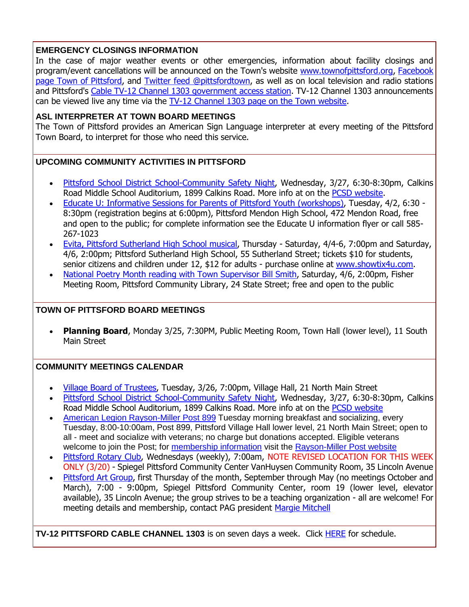# **EMERGENCY CLOSINGS INFORMATION**

In the case of major weather events or other emergencies, information about facility closings and program/event cancellations will be announced on the Town's website [www.townofpittsford.org,](http://townofpittsford.org/?utm_source=eNews+03-20-19&utm_campaign=eNews+03-20-19&utm_medium=email) [Facebook](https://www.facebook.com/pages/Town-of-Pittsford/139082619464200)  [page Town of Pittsford,](https://www.facebook.com/pages/Town-of-Pittsford/139082619464200) and [Twitter feed @pittsfordtown,](http://r20.rs6.net/tn.jsp?f=001yOcAxkvxeG3upcXfbFALRicPy884ENLvDoAFpQpZiWHs83gTI9Yzg20TkyHbdxVVQ8g9GVT1i_aN5WJ27kqsXDtUDYswh5nCdQ4XG5BlhGpBdm0XSU3tR0XqweLL-VrQIft6qEBOHfiNf3Ie-InwXPNhJetCAxX7HjEUary66aDAVYXmMTSjYw==&c=zmnJknkP1A0QkuY9ogdLlT0d83CGnGTrlOAKVMsXMcMgsKj-CiGrhA==&ch=TFT3lTIwX9dSQytOTVCVve_cgzUSgJsnVaIgOHz6QBMzrvOgoo9LHA==) as well as on local television and radio stations and Pittsford's [Cable TV-12 Channel 1303 government access station.](http://townofpittsford.org/home-channel12?utm_source=eNews+03-20-19&utm_campaign=eNews+03-20-19&utm_medium=email) TV-12 Channel 1303 announcements can be viewed live any time via the [TV-12 Channel 1303 page on the Town website.](http://townofpittsford.org/home-channel12?utm_source=eNews+03-20-19&utm_campaign=eNews+03-20-19&utm_medium=email)

#### **ASL INTERPRETER AT TOWN BOARD MEETINGS**

The Town of Pittsford provides an American Sign Language interpreter at every meeting of the Pittsford Town Board, to interpret for those who need this service.

# **UPCOMING COMMUNITY ACTIVITIES IN PITTSFORD**

- [Pittsford School District School-Community Safety Night,](http://r20.rs6.net/tn.jsp?f=001yOcAxkvxeG3upcXfbFALRicPy884ENLvDoAFpQpZiWHs83gTI9Yzg9svuZS04QzIZc1DXZB3Sx4sCqPXc56ykbi2lT8RWcjcHLdnkU_0GytjdmMRLA-POLcINaIZfuyLAZYPPbUOtiYbbN1MhXDSwPGnDBV_6stsyN-It4-G1ZXrp9Fd2zCJL22EpA11cmmL8RO4kJ2te2_4YL2TKc5z3t3cdq3qhJWObYmtUB2f6SKmqY6Z5rJXUSO8hf-k5FD7q1AZFQIEkcLX41j6K89wA7iJHhTzrFpaIoDhbdPDK4H4nwH2m9R1Dr2SNLgdUEeWpzwEVg6jhXy9fiVUPXAdFwOF8NKQsilHM4vZCmZfcYPdZy-YyjD9a8DZY47fIG7SATFWD4mLIYXojP1jSw4SLCsuooh4zB5il7pJ9zHMdDpcQxQYsCvjt-_UPQeIZuLTmP3NqOsddw72sB8_3i-hAFpAzqwMBA173AsmmJpJ-y-DdCAsDg17-MSgtuMuVSzNX5jbadN0pPf-zmc5_8X_OQ==&c=zmnJknkP1A0QkuY9ogdLlT0d83CGnGTrlOAKVMsXMcMgsKj-CiGrhA==&ch=TFT3lTIwX9dSQytOTVCVve_cgzUSgJsnVaIgOHz6QBMzrvOgoo9LHA==) Wednesday, 3/27, 6:30-8:30pm, Calkins Road Middle School Auditorium, 1899 Calkins Road. More info at on the [PCSD website.](http://r20.rs6.net/tn.jsp?f=001yOcAxkvxeG3upcXfbFALRicPy884ENLvDoAFpQpZiWHs83gTI9Yzg9svuZS04QzIZc1DXZB3Sx4sCqPXc56ykbi2lT8RWcjcHLdnkU_0GytjdmMRLA-POLcINaIZfuyLAZYPPbUOtiYbbN1MhXDSwPGnDBV_6stsyN-It4-G1ZXrp9Fd2zCJL22EpA11cmmL8RO4kJ2te2_4YL2TKc5z3t3cdq3qhJWObYmtUB2f6SKmqY6Z5rJXUSO8hf-k5FD7q1AZFQIEkcLX41j6K89wA7iJHhTzrFpaIoDhbdPDK4H4nwH2m9R1Dr2SNLgdUEeWpzwEVg6jhXy9fiVUPXAdFwOF8NKQsilHM4vZCmZfcYPdZy-YyjD9a8DZY47fIG7SATFWD4mLIYXojP1jSw4SLCsuooh4zB5il7pJ9zHMdDpcQxQYsCvjt-_UPQeIZuLTmP3NqOsddw72sB8_3i-hAFpAzqwMBA173AsmmJpJ-y-DdCAsDg17-MSgtuMuVSzNX5jbadN0pPf-zmc5_8X_OQ==&c=zmnJknkP1A0QkuY9ogdLlT0d83CGnGTrlOAKVMsXMcMgsKj-CiGrhA==&ch=TFT3lTIwX9dSQytOTVCVve_cgzUSgJsnVaIgOHz6QBMzrvOgoo9LHA==)
- [Educate U: Informative Sessions for Parents of Pittsford Youth \(workshops\),](http://r20.rs6.net/tn.jsp?f=001yOcAxkvxeG3upcXfbFALRicPy884ENLvDoAFpQpZiWHs83gTI9Yzg1yiFvvfpZyYgr0NTz4BXDbr8ubuWMX1LMAD9rjeBce9Lwcoc_618SaFcb9lMKVB7eTzU_TzDt7Wu9Codu75uteFtYaRatna3YFZdUhcB7CKsUuKbETEkeGtBZ7Yk3RsKrk115OjlCwE8xcu-NMg1N7heWQvZ66JjlxTGHbDhtZlz2KgoEB_7ZPwx-rDH1SiDrdA2kRzFICwJh1fo_l4dD9G9X69cFNN-_msN1udKnkoaQsbHQjB7UlOQkvO8h_IkNRomjcyUw-uz7ZD7GYQjhahLhHvTEdz7y8My5S0poVSA9rynTfoBBDLKLtJr8nlufjJIY5Eg9RO&c=zmnJknkP1A0QkuY9ogdLlT0d83CGnGTrlOAKVMsXMcMgsKj-CiGrhA==&ch=TFT3lTIwX9dSQytOTVCVve_cgzUSgJsnVaIgOHz6QBMzrvOgoo9LHA==) Tuesday, 4/2, 6:30 8:30pm (registration begins at 6:00pm), Pittsford Mendon High School, 472 Mendon Road, free and open to the public; for complete information see the Educate U information flyer or call 585- 267-1023
- [Evita, Pittsford Sutherland High School musical,](http://r20.rs6.net/tn.jsp?f=001yOcAxkvxeG3upcXfbFALRicPy884ENLvDoAFpQpZiWHs83gTI9Yzg-SuxjnKN3a5fzpymHbbROzEhrPIvKY1idQJowKuajBJBkUeKLlVrAGkrJxSLerXspBZNzaw3cIsyQIyjL2ChZIAVEsLxuvJIqHBV2y92LIWQnWUSIjE7knK6b7AwW6MXsZxWhvGXLWjOye-EPDdUS586rUE36Cj8RrKmKLuexIuqa89Wkm29PkK8n-kmirVzFEVjVXDwv9e5sVyVKLoaHOdsg8JOBzoYWbozmV38hSx&c=zmnJknkP1A0QkuY9ogdLlT0d83CGnGTrlOAKVMsXMcMgsKj-CiGrhA==&ch=TFT3lTIwX9dSQytOTVCVve_cgzUSgJsnVaIgOHz6QBMzrvOgoo9LHA==) Thursday Saturday, 4/4-6, 7:00pm and Saturday, 4/6, 2:00pm; Pittsford Sutherland High School, 55 Sutherland Street; tickets \$10 for students, senior citizens and children under 12, \$12 for adults - purchase online at [www.showtix4u.com.](http://r20.rs6.net/tn.jsp?f=001yOcAxkvxeG3upcXfbFALRicPy884ENLvDoAFpQpZiWHs83gTI9Yzg-SuxjnKN3a5fzpymHbbROzEhrPIvKY1idQJowKuajBJBkUeKLlVrAGkrJxSLerXspBZNzaw3cIsyQIyjL2ChZIAVEsLxuvJIqHBV2y92LIWQnWUSIjE7knK6b7AwW6MXsZxWhvGXLWjOye-EPDdUS586rUE36Cj8RrKmKLuexIuqa89Wkm29PkK8n-kmirVzFEVjVXDwv9e5sVyVKLoaHOdsg8JOBzoYWbozmV38hSx&c=zmnJknkP1A0QkuY9ogdLlT0d83CGnGTrlOAKVMsXMcMgsKj-CiGrhA==&ch=TFT3lTIwX9dSQytOTVCVve_cgzUSgJsnVaIgOHz6QBMzrvOgoo9LHA==)
- [National Poetry Month reading with Town Supervisor Bill Smith,](http://r20.rs6.net/tn.jsp?f=001yOcAxkvxeG3upcXfbFALRicPy884ENLvDoAFpQpZiWHs83gTI9Yzg1yiFvvfpZyYtwYLEUGnQSidfZ34DioImQlp0xTfMvJclApvJYeq8LxgSRX-7mKsDQU9aotAm4srntvK8B_CUdGEM8v3bV16ZYgRg2QnV5FbILV8UBaDtgMUV3TSUOfMnMA8fMnmqizJdBuuwy5G4y-QfjZNusKJFyWd2F-AA7nUHVEfdk3180OOkpzIym4zuZyLk-o9YBM1NEjk6UYg4eslHyyX2h48j4PXUwCIXFlGTziumUME73U4Ryn_bmhEbT0bV649C96h&c=zmnJknkP1A0QkuY9ogdLlT0d83CGnGTrlOAKVMsXMcMgsKj-CiGrhA==&ch=TFT3lTIwX9dSQytOTVCVve_cgzUSgJsnVaIgOHz6QBMzrvOgoo9LHA==) Saturday, 4/6, 2:00pm, Fisher Meeting Room, Pittsford Community Library, 24 State Street; free and open to the public

#### **TOWN OF PITTSFORD BOARD MEETINGS**

**Planning Board**, Monday 3/25, 7:30PM, Public Meeting Room, Town Hall (lower level), 11 South Main Street

# **COMMUNITY MEETINGS CALENDAR**

- [Village Board of Trustees,](http://www.villageofpittsford.com/?utm_source=eNews+03-20-19&utm_campaign=eNews+03-20-19&utm_medium=email) Tuesday, 3/26, 7:00pm, Village Hall, 21 North Main Street
- [Pittsford School District School-Community Safety Night,](http://r20.rs6.net/tn.jsp?f=001yOcAxkvxeG3upcXfbFALRicPy884ENLvDoAFpQpZiWHs83gTI9Yzg9svuZS04QzIZc1DXZB3Sx4sCqPXc56ykbi2lT8RWcjcHLdnkU_0GytjdmMRLA-POLcINaIZfuyLAZYPPbUOtiYbbN1MhXDSwPGnDBV_6stsyN-It4-G1ZXrp9Fd2zCJL22EpA11cmmL8RO4kJ2te2_4YL2TKc5z3t3cdq3qhJWObYmtUB2f6SKmqY6Z5rJXUSO8hf-k5FD7q1AZFQIEkcLX41j6K89wA7iJHhTzrFpaIoDhbdPDK4H4nwH2m9R1Dr2SNLgdUEeWpzwEVg6jhXy9fiVUPXAdFwOF8NKQsilHM4vZCmZfcYPdZy-YyjD9a8DZY47fIG7SATFWD4mLIYXojP1jSw4SLCsuooh4zB5il7pJ9zHMdDpcQxQYsCvjt-_UPQeIZuLTmP3NqOsddw72sB8_3i-hAFpAzqwMBA173AsmmJpJ-y-DdCAsDg17-MSgtuMuVSzNX5jbadN0pPf-zmc5_8X_OQ==&c=zmnJknkP1A0QkuY9ogdLlT0d83CGnGTrlOAKVMsXMcMgsKj-CiGrhA==&ch=TFT3lTIwX9dSQytOTVCVve_cgzUSgJsnVaIgOHz6QBMzrvOgoo9LHA==) Wednesday, 3/27, 6:30-8:30pm, Calkins Road Middle School Auditorium, 1899 Calkins Road. More info at on the [PCSD website](http://r20.rs6.net/tn.jsp?f=001yOcAxkvxeG3upcXfbFALRicPy884ENLvDoAFpQpZiWHs83gTI9Yzg9svuZS04QzIZc1DXZB3Sx4sCqPXc56ykbi2lT8RWcjcHLdnkU_0GytjdmMRLA-POLcINaIZfuyLAZYPPbUOtiYbbN1MhXDSwPGnDBV_6stsyN-It4-G1ZXrp9Fd2zCJL22EpA11cmmL8RO4kJ2te2_4YL2TKc5z3t3cdq3qhJWObYmtUB2f6SKmqY6Z5rJXUSO8hf-k5FD7q1AZFQIEkcLX41j6K89wA7iJHhTzrFpaIoDhbdPDK4H4nwH2m9R1Dr2SNLgdUEeWpzwEVg6jhXy9fiVUPXAdFwOF8NKQsilHM4vZCmZfcYPdZy-YyjD9a8DZY47fIG7SATFWD4mLIYXojP1jSw4SLCsuooh4zB5il7pJ9zHMdDpcQxQYsCvjt-_UPQeIZuLTmP3NqOsddw72sB8_3i-hAFpAzqwMBA173AsmmJpJ-y-DdCAsDg17-MSgtuMuVSzNX5jbadN0pPf-zmc5_8X_OQ==&c=zmnJknkP1A0QkuY9ogdLlT0d83CGnGTrlOAKVMsXMcMgsKj-CiGrhA==&ch=TFT3lTIwX9dSQytOTVCVve_cgzUSgJsnVaIgOHz6QBMzrvOgoo9LHA==)
- [American Legion Rayson-Miller Post 899](http://r20.rs6.net/tn.jsp?f=001yOcAxkvxeG3upcXfbFALRicPy884ENLvDoAFpQpZiWHs83gTI9Yzg2CakVb7XziJ3Pm-gIzE8ntYI4AOavgBuN0uWy3Kmlr82A6_rpW-f-hJBA_kUNeJOenVVp8xn23DyINxvqeHmtmyYBhGEZ8tDPZk60qS-W02zgh5GXhhGBgyQLfUt1PDsR9FRE-IKxvXdX2G7OR3mjtFEuXPGoWmYGB7MFRMXv9s6V3LWmea3BwN2rdA9YyAkk0dScxvIMz_MrjByGYjqAbLUZ-g4qVGy_ZcbzqBr8CoYjuwdLx9oSyH2hymeLQrZA==&c=zmnJknkP1A0QkuY9ogdLlT0d83CGnGTrlOAKVMsXMcMgsKj-CiGrhA==&ch=TFT3lTIwX9dSQytOTVCVve_cgzUSgJsnVaIgOHz6QBMzrvOgoo9LHA==) Tuesday morning breakfast and socializing, every Tuesday, 8:00-10:00am, Post 899, Pittsford Village Hall lower level, 21 North Main Street; open to all - meet and socialize with veterans; no charge but donations accepted. Eligible veterans welcome to join the Post; for [membership information](http://r20.rs6.net/tn.jsp?f=001yOcAxkvxeG3upcXfbFALRicPy884ENLvDoAFpQpZiWHs83gTI9Yzg2CakVb7XziJcOyuMKuE_sWjFcKrD8ui7-kSi75tltV8PDrX1m90zOgDAXJGqrsOAa2Qw1ZGGQxCR-kRzBF-74vA1A9BfTNu9aEREcr63okm1HQJT_iQdt8gZRqLD_ipgkd2Go9jj-yr7sGaFwObUe0CtEvaYO5TQNL464AkjswOJf3YsR5Pkf2Z1KjtdQbfNfxEeQ_zKSUyzTx3ku4HLFHJ-9f2FGAgH4-SnLNDSMbDe87gipGSm_FkidufgYghNDeotfEr-zXSRlnKZIf8wV0=&c=zmnJknkP1A0QkuY9ogdLlT0d83CGnGTrlOAKVMsXMcMgsKj-CiGrhA==&ch=TFT3lTIwX9dSQytOTVCVve_cgzUSgJsnVaIgOHz6QBMzrvOgoo9LHA==) visit the [Rayson-Miller Post website](http://r20.rs6.net/tn.jsp?f=001yOcAxkvxeG3upcXfbFALRicPy884ENLvDoAFpQpZiWHs83gTI9Yzg-Ve9SC49MBKL3ze-XKc6r3UoxaqQ-q-KU16MGj-3HcGHFDBUQm9kbEllwCSJ99H3OfxHE3-2dASgN1fav_zIJutJ5zdss7mTvJ7SnQgX3KWRleeIZNEkCcMByg5dFRokfvrYTFufWiUWjohuW6VK-r4vHGADNwI38sXXNwaBL46DrDYBghj05FkDnsJ2I7tMxkL-O6RCS3F6qWrEu-rvNlr4t3El_Ieq_P9I_XQfaReiypr8GAW3rxY3Jk4ths-Ca08pzQ6SGEAtqn7OHLnMpyRZHBZ7VEwSaU9RZ9sGKlFIMFe0m10panEsicMXzbBxNS0QrJhEyPK5xGxIsgAfuc=&c=zmnJknkP1A0QkuY9ogdLlT0d83CGnGTrlOAKVMsXMcMgsKj-CiGrhA==&ch=TFT3lTIwX9dSQytOTVCVve_cgzUSgJsnVaIgOHz6QBMzrvOgoo9LHA==)
- [Pittsford Rotary Club,](http://r20.rs6.net/tn.jsp?f=001yOcAxkvxeG3upcXfbFALRicPy884ENLvDoAFpQpZiWHs83gTI9Yzg4lwWBvEbhgw-v4C4KIdNMUyoyGisqMGrJ1BVMsdio2pqRX3HwqlJ7L4o8CHe8d_PMzLvXYmKAaBkXPYHXUyuIDnEKKOrW1YJu-JiDz_J0U0LIJuSqNWrw1YWclPKBcxU_MhTyqpOX9u5goY9vHx6cdkepcNsYTmJpqyg5vdWzDjnlG_vS5cCkx-7avD1pWl6dfDqpXDSnmR01HmiV-Og7qX0tHRKZxdPSLdnggB9N2nT2__iLUoaor05q663HzQ_A==&c=zmnJknkP1A0QkuY9ogdLlT0d83CGnGTrlOAKVMsXMcMgsKj-CiGrhA==&ch=TFT3lTIwX9dSQytOTVCVve_cgzUSgJsnVaIgOHz6QBMzrvOgoo9LHA==) Wednesdays (weekly), 7:00am, NOTE REVISED LOCATION FOR THIS WEEK ONLY (3/20) - Spiegel Pittsford Community Center VanHuysen Community Room, 35 Lincoln Avenue
- [Pittsford Art Group,](https://pittsfordartgroup.wordpress.com/?utm_source=eNews+03-20-19&utm_campaign=eNews+03-20-19&utm_medium=email) first Thursday of the month, September through May (no meetings October and March), 7:00 - 9:00pm, Spiegel Pittsford Community Center, room 19 (lower level, elevator available), 35 Lincoln Avenue; the group strives to be a teaching organization - all are welcome! For meeting details and membership, contact PAG president [Margie Mitchell](mailto:mhsmitchell@gmail.com?subject=Pittsford%20Art%20Group%20Meetings%20and%20Membership)

**TV-12 PITTSFORD CABLE CHANNEL 1303** is on seven days a week. Click [HERE](http://r20.rs6.net/tn.jsp?f=001yOcAxkvxeG3upcXfbFALRicPy884ENLvDoAFpQpZiWHs83gTI9Yzg4R0ysjAPyKVRrXxgA2yck2OXs-sGPRZnD7BXnBGGbbCDiBsC6K1VMpe-f1it1MeJAzM9miGYapYC8ICaWsS5U2AUQZEd3gDNNc6JZ18bTyqyFGU4dRkgI780NpI4lfaGvdg5mGXanmn_r0d07kb2CAPIM6GN2RZMIZmfpIqV-yojxVG3lrjyFi7jrA04eJbU6ch5rHMYhFc_QcdRLtQs5e2xvoN-gcISvyAZmGGv-zdT54HEMCesRIFxy7GiC_Nal94TQpekuqd&c=zmnJknkP1A0QkuY9ogdLlT0d83CGnGTrlOAKVMsXMcMgsKj-CiGrhA==&ch=TFT3lTIwX9dSQytOTVCVve_cgzUSgJsnVaIgOHz6QBMzrvOgoo9LHA==) for schedule.